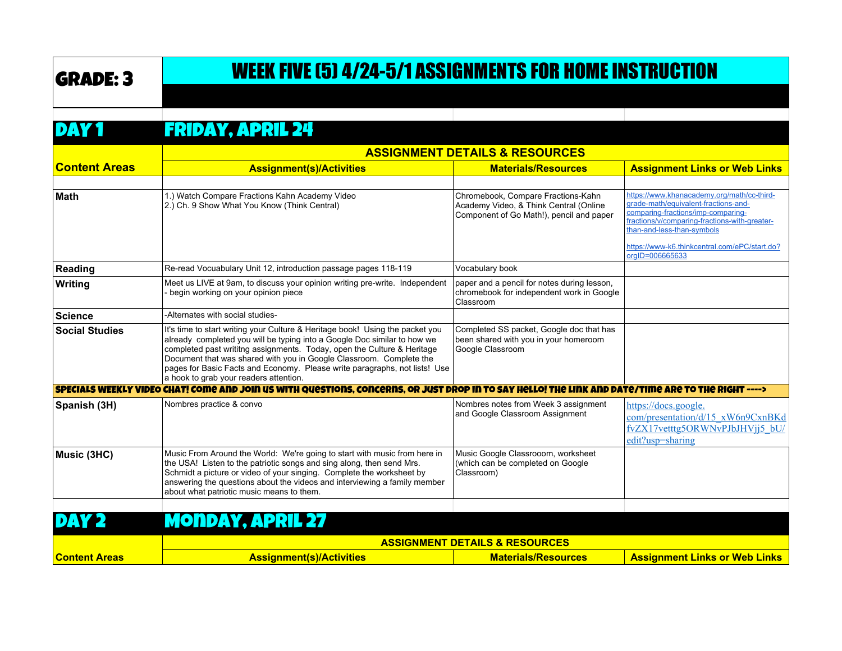# GRADE: 3 WEEK FIVE (5) 4/24-5/1 ASSIGNMENTS FOR HOME INSTRUCTION

#### DAY 1 FRIDAY, APRIL 24

|                       |                                                                                                                                                                                                                                                                                                                                                                                                                                     | <b>ASSIGNMENT DETAILS &amp; RESOURCES</b>                                                                                |                                                                                                                                                                                                                                                                             |  |
|-----------------------|-------------------------------------------------------------------------------------------------------------------------------------------------------------------------------------------------------------------------------------------------------------------------------------------------------------------------------------------------------------------------------------------------------------------------------------|--------------------------------------------------------------------------------------------------------------------------|-----------------------------------------------------------------------------------------------------------------------------------------------------------------------------------------------------------------------------------------------------------------------------|--|
| <b>Content Areas</b>  | <b>Assignment(s)/Activities</b>                                                                                                                                                                                                                                                                                                                                                                                                     | <b>Materials/Resources</b>                                                                                               | <b>Assignment Links or Web Links</b>                                                                                                                                                                                                                                        |  |
|                       |                                                                                                                                                                                                                                                                                                                                                                                                                                     |                                                                                                                          |                                                                                                                                                                                                                                                                             |  |
| <b>Math</b>           | 1.) Watch Compare Fractions Kahn Academy Video<br>2.) Ch. 9 Show What You Know (Think Central)                                                                                                                                                                                                                                                                                                                                      | Chromebook, Compare Fractions-Kahn<br>Academy Video, & Think Central (Online<br>Component of Go Math!), pencil and paper | https://www.khanacademy.org/math/cc-third-<br>qrade-math/equivalent-fractions-and-<br>comparing-fractions/imp-comparing-<br>fractions/v/comparing-fractions-with-greater-<br>than-and-less-than-symbols<br>https://www-k6.thinkcentral.com/ePC/start.do?<br>orgID=006665633 |  |
| Reading               | Re-read Vocuabulary Unit 12, introduction passage pages 118-119                                                                                                                                                                                                                                                                                                                                                                     | Vocabulary book                                                                                                          |                                                                                                                                                                                                                                                                             |  |
| Writing               | Meet us LIVE at 9am, to discuss your opinion writing pre-write. Independent<br>begin working on your opinion piece                                                                                                                                                                                                                                                                                                                  | paper and a pencil for notes during lesson,<br>chromebook for independent work in Google<br>Classroom                    |                                                                                                                                                                                                                                                                             |  |
| ∣Science              | -Alternates with social studies-                                                                                                                                                                                                                                                                                                                                                                                                    |                                                                                                                          |                                                                                                                                                                                                                                                                             |  |
| <b>Social Studies</b> | It's time to start writing your Culture & Heritage book! Using the packet you<br>already completed you will be typing into a Google Doc similar to how we<br>completed past writitng assignments. Today, open the Culture & Heritage<br>Document that was shared with you in Google Classroom. Complete the<br>pages for Basic Facts and Economy. Please write paragraphs, not lists! Use<br>a hook to grab your readers attention. | Completed SS packet, Google doc that has<br>been shared with you in your homeroom<br>Google Classroom                    |                                                                                                                                                                                                                                                                             |  |
|                       | SPECIALS WEEKLY VIDEO CHAT! COME AND JOIN US WITH QUESTIONS. CONCERNS. OR JUST DROP IN TO SAY HELLO! THE LINK AND DATE/TIME ARE TO THE RIGHT ---->                                                                                                                                                                                                                                                                                  |                                                                                                                          |                                                                                                                                                                                                                                                                             |  |
| Spanish (3H)          | Nombres practice & convo                                                                                                                                                                                                                                                                                                                                                                                                            | Nombres notes from Week 3 assignment<br>and Google Classroom Assignment                                                  | https://docs.google.<br>com/presentation/d/15 xW6n9CxnBKd<br>fvZX17vetttg5ORWNvPJbJHVjj5 bU/<br>edit?usp=sharing                                                                                                                                                            |  |
| Music (3HC)           | Music From Around the World: We're going to start with music from here in<br>the USA! Listen to the patriotic songs and sing along, then send Mrs.<br>Schmidt a picture or video of your singing. Complete the worksheet by<br>answering the questions about the videos and interviewing a family member<br>about what patriotic music means to them.                                                                               | Music Google Classrooom, worksheet<br>(which can be completed on Google<br>Classroom)                                    |                                                                                                                                                                                                                                                                             |  |

### DAY 2 MONDAY, APRIL 27

|                        | <b>ASSIGNMENT DETAILS &amp; RESOURCES</b> |                            |                                      |
|------------------------|-------------------------------------------|----------------------------|--------------------------------------|
| <u> IContent Areas</u> | <b>Assignment(s)/Activities</b>           | <b>Materials/Resources</b> | <b>Assignment Links or Web Links</b> |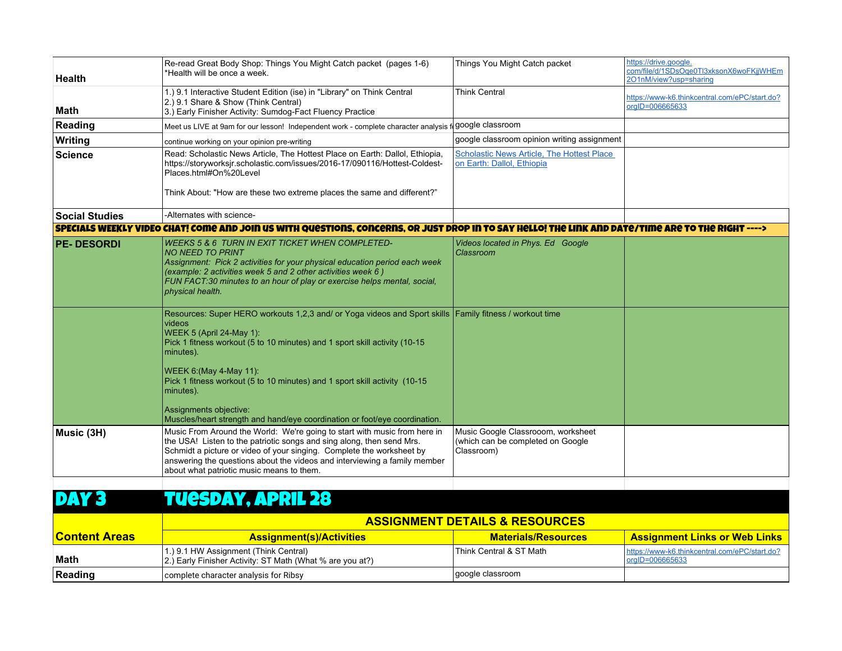| <b>Health</b>         | Re-read Great Body Shop: Things You Might Catch packet (pages 1-6)<br>*Health will be once a week.                                                                                                                                                                                                                                                                                                                                                                       | Things You Might Catch packet                                                         | https://drive.google.<br>com/file/d/1SDsOqe0Tl3xksonX6woFKjjWHEm<br>201nM/view?usp=sharing |
|-----------------------|--------------------------------------------------------------------------------------------------------------------------------------------------------------------------------------------------------------------------------------------------------------------------------------------------------------------------------------------------------------------------------------------------------------------------------------------------------------------------|---------------------------------------------------------------------------------------|--------------------------------------------------------------------------------------------|
| <b>Math</b>           | 1.) 9.1 Interactive Student Edition (ise) in "Library" on Think Central<br>2.) 9.1 Share & Show (Think Central)<br>3.) Early Finisher Activity: Sumdog-Fact Fluency Practice                                                                                                                                                                                                                                                                                             | <b>Think Central</b>                                                                  | https://www-k6.thinkcentral.com/ePC/start.do?<br>orgID=006665633                           |
| Reading               | Meet us LIVE at 9am for our lesson! Independent work - complete character analysis f                                                                                                                                                                                                                                                                                                                                                                                     | google classroom                                                                      |                                                                                            |
| Writing               | continue working on your opinion pre-writing                                                                                                                                                                                                                                                                                                                                                                                                                             | google classroom opinion writing assignment                                           |                                                                                            |
| <b>Science</b>        | Read: Scholastic News Article, The Hottest Place on Earth: Dallol, Ethiopia,<br>https://storyworksjr.scholastic.com/issues/2016-17/090116/Hottest-Coldest-<br>Places.html#On%20Level                                                                                                                                                                                                                                                                                     | <b>Scholastic News Article, The Hottest Place</b><br>on Earth: Dallol, Ethiopia       |                                                                                            |
|                       | Think About: "How are these two extreme places the same and different?"                                                                                                                                                                                                                                                                                                                                                                                                  |                                                                                       |                                                                                            |
| <b>Social Studies</b> | -Alternates with science-                                                                                                                                                                                                                                                                                                                                                                                                                                                |                                                                                       |                                                                                            |
|                       | SPECIALS WEEKLY VIDEO CHAT! COME AND JOIN US WITH QUESTIONS, CONCERNS, OR JUST DROP IN TO SAY HELLO! THE LINK AND DATE/TIME ARE TO THE RIGHT ---->                                                                                                                                                                                                                                                                                                                       |                                                                                       |                                                                                            |
| <b>PE-DESORDI</b>     | <b>WEEKS 5 &amp; 6 TURN IN EXIT TICKET WHEN COMPLETED-</b><br>NO NEED TO PRINT<br>Assignment: Pick 2 activities for your physical education period each week<br>(example: 2 activities week 5 and 2 other activities week 6)<br>FUN FACT:30 minutes to an hour of play or exercise helps mental, social,<br>physical health.                                                                                                                                             | Videos located in Phys. Ed Google<br>Classroom                                        |                                                                                            |
|                       | Resources: Super HERO workouts 1,2,3 and/ or Yoga videos and Sport skills   Family fitness / workout time<br>videos<br>WEEK 5 (April 24-May 1):<br>Pick 1 fitness workout (5 to 10 minutes) and 1 sport skill activity (10-15<br>minutes).<br>WEEK 6: (May 4-May 11):<br>Pick 1 fitness workout (5 to 10 minutes) and 1 sport skill activity (10-15<br>minutes).<br>Assignments objective:<br>Muscles/heart strength and hand/eye coordination or foot/eye coordination. |                                                                                       |                                                                                            |
| Music (3H)            | Music From Around the World: We're going to start with music from here in<br>the USA! Listen to the patriotic songs and sing along, then send Mrs.<br>Schmidt a picture or video of your singing. Complete the worksheet by<br>answering the questions about the videos and interviewing a family member<br>about what patriotic music means to them.                                                                                                                    | Music Google Classrooom, worksheet<br>(which can be completed on Google<br>Classroom) |                                                                                            |

# DAY 3 TUESDAY, APRIL 28

|                      | <b>ASSIGNMENT DETAILS &amp; RESOURCES</b>                                                           |                            |                                                                     |
|----------------------|-----------------------------------------------------------------------------------------------------|----------------------------|---------------------------------------------------------------------|
| <b>Content Areas</b> | <b>Assignment(s)/Activities</b>                                                                     | <b>Materials/Resources</b> | <b>Assignment Links or Web Links</b>                                |
| Math                 | 1.) 9.1 HW Assignment (Think Central)<br>[2.] Early Finisher Activity: ST Math (What % are you at?) | l Think Central & ST Math_ | https://www-k6.thinkcentral.com/ePC/start.do?<br>$ orq D=006665633$ |
| Reading              | complete character analysis for Ribsy                                                               | google classroom           |                                                                     |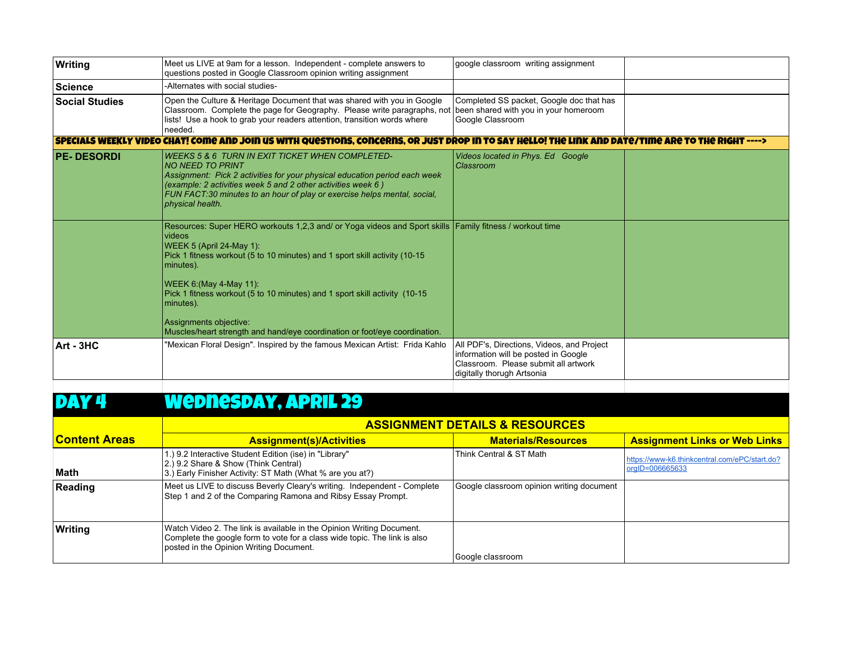| Writing               | Meet us LIVE at 9am for a lesson. Independent - complete answers to<br>questions posted in Google Classroom opinion writing assignment                                                                                                                                                                                                                                                                                                                                   | google classroom writing assignment                                                                                                                      |  |
|-----------------------|--------------------------------------------------------------------------------------------------------------------------------------------------------------------------------------------------------------------------------------------------------------------------------------------------------------------------------------------------------------------------------------------------------------------------------------------------------------------------|----------------------------------------------------------------------------------------------------------------------------------------------------------|--|
| ∣Science              | -Alternates with social studies-                                                                                                                                                                                                                                                                                                                                                                                                                                         |                                                                                                                                                          |  |
| <b>Social Studies</b> | Open the Culture & Heritage Document that was shared with you in Google<br>Classroom. Complete the page for Geography. Please write paragraphs, not been shared with you in your homeroom<br>lists! Use a hook to grab your readers attention, transition words where<br>needed.                                                                                                                                                                                         | Completed SS packet, Google doc that has<br>Google Classroom                                                                                             |  |
|                       | SPECIALS WEEKLY VIDEO CHAT! COME AND JOIN US WITH QUESTIONS. CONCERNS. OR JUST DROP IN TO SAY HELLO! THE LINK AND DATE/TIME ARE TO THE RIGHT ---->                                                                                                                                                                                                                                                                                                                       |                                                                                                                                                          |  |
| <b>PE-DESORDI</b>     | <b>WEEKS 5 &amp; 6 TURN IN EXIT TICKET WHEN COMPLETED-</b><br><b>NO NEED TO PRINT</b><br>Assignment: Pick 2 activities for your physical education period each week<br>(example: 2 activities week 5 and 2 other activities week 6)<br>FUN FACT:30 minutes to an hour of play or exercise helps mental, social,<br>physical health.                                                                                                                                      | Videos located in Phys. Ed Google<br>Classroom                                                                                                           |  |
|                       | Resources: Super HERO workouts 1,2,3 and/ or Yoga videos and Sport skills   Family fitness / workout time<br>videos<br>WEEK 5 (April 24-May 1):<br>Pick 1 fitness workout (5 to 10 minutes) and 1 sport skill activity (10-15<br>minutes).<br>WEEK 6: (May 4-May 11):<br>Pick 1 fitness workout (5 to 10 minutes) and 1 sport skill activity (10-15<br>minutes).<br>Assignments objective:<br>Muscles/heart strength and hand/eye coordination or foot/eye coordination. |                                                                                                                                                          |  |
| Art - 3HC             | "Mexican Floral Design". Inspired by the famous Mexican Artist: Frida Kahlo                                                                                                                                                                                                                                                                                                                                                                                              | All PDF's, Directions, Videos, and Project<br>information will be posted in Google<br>Classroom. Please submit all artwork<br>digitally thorugh Artsonia |  |

### DAY 4 Wednesday, APRIL 29

|                       | <b>ASSIGNMENT DETAILS &amp; RESOURCES</b>                                                                                                                                                     |                                           |                                                                  |  |
|-----------------------|-----------------------------------------------------------------------------------------------------------------------------------------------------------------------------------------------|-------------------------------------------|------------------------------------------------------------------|--|
| <u>lContent Areas</u> | <b>Assignment(s)/Activities</b>                                                                                                                                                               | <b>Materials/Resources</b>                | <b>Assignment Links or Web Links</b>                             |  |
| Math                  | 1.) 9.2 Interactive Student Edition (ise) in "Library"<br>2.) 9.2 Share & Show (Think Central)<br>3.) Early Finisher Activity: ST Math (What % are you at?)                                   | Think Central & ST Math                   | https://www-k6.thinkcentral.com/ePC/start.do?<br>orgID=006665633 |  |
| Reading               | Meet us LIVE to discuss Beverly Cleary's writing. Independent - Complete<br>Step 1 and 2 of the Comparing Ramona and Ribsy Essay Prompt.                                                      | Google classroom opinion writing document |                                                                  |  |
| Writing               | Watch Video 2. The link is available in the Opinion Writing Document.<br>Complete the google form to vote for a class wide topic. The link is also<br>posted in the Opinion Writing Document. | Google classroom                          |                                                                  |  |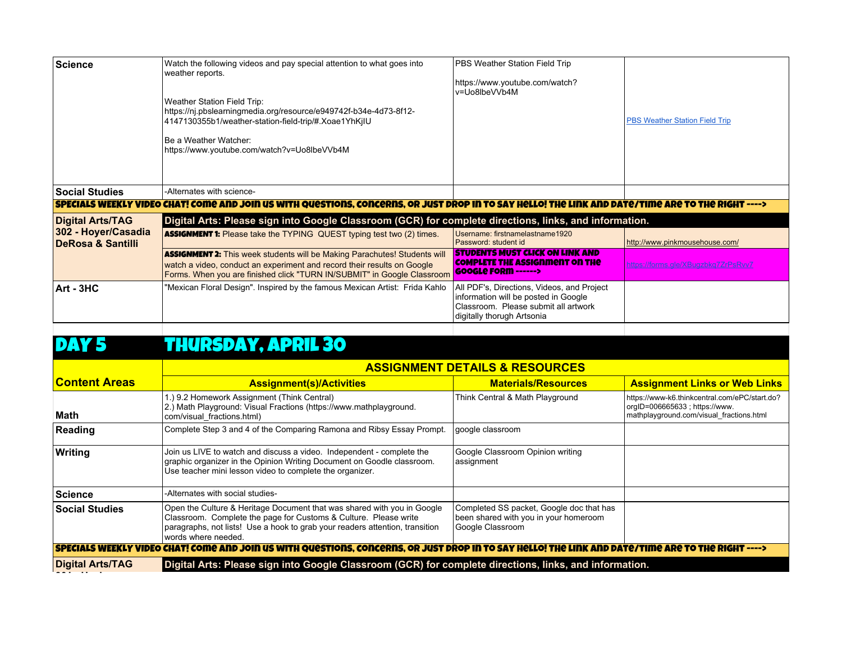| <b>Science</b>                                      | Watch the following videos and pay special attention to what goes into<br>weather reports.<br>Weather Station Field Trip:<br>https://nj.pbslearningmedia.org/resource/e949742f-b34e-4d73-8f12-<br>4147130355b1/weather-station-field-trip/#.Xoae1YhKjIU<br>l Be a Weather Watcher:<br>https://www.youtube.com/watch?v=Uo8lbeVVb4M | PBS Weather Station Field Trip<br>https://www.youtube.com/watch?<br>v=Uo8lbeVVb4M                                                                        | <b>PBS Weather Station Field Trip</b> |
|-----------------------------------------------------|-----------------------------------------------------------------------------------------------------------------------------------------------------------------------------------------------------------------------------------------------------------------------------------------------------------------------------------|----------------------------------------------------------------------------------------------------------------------------------------------------------|---------------------------------------|
| <b>Social Studies</b>                               | -Alternates with science-                                                                                                                                                                                                                                                                                                         |                                                                                                                                                          |                                       |
|                                                     | SPECIALS WEEKLY VIDEO CHAT! COME AND JOIN US WITH QUESTIONS. CONCERNS. OR JUST DROP IN TO SAY HELLO! THE LINK AND DATE/TIME ARE TO THE RIGHT ---->                                                                                                                                                                                |                                                                                                                                                          |                                       |
| <b>Digital Arts/TAG</b>                             | Digital Arts: Please sign into Google Classroom (GCR) for complete directions, links, and information.                                                                                                                                                                                                                            |                                                                                                                                                          |                                       |
| 302 - Hoyer/Casadia<br><b>DeRosa &amp; Santilli</b> | <b>ASSIGNMENT 1:</b> Please take the TYPING QUEST typing test two (2) times.                                                                                                                                                                                                                                                      | Username: firstnamelastname1920<br>Password: student id                                                                                                  | http://www.pinkmousehouse.com/        |
|                                                     | <b>ASSIGNMENT 2:</b> This week students will be Making Parachutes! Students will<br>watch a video, conduct an experiment and record their results on Google<br>Forms. When you are finished click "TURN IN/SUBMIT" in Google Classroom                                                                                            | <b>STUDENTS MUST CLICK ON LINK AND</b><br>COMPLETE THE ASSIGNMENT ON THE<br><b>GOOGLE FORM ------&gt;</b>                                                | https://forms.gle/XBugzbkg7ZrPsRvv7   |
| Art - 3HC                                           | "Mexican Floral Design". Inspired by the famous Mexican Artist: Frida Kahlo                                                                                                                                                                                                                                                       | All PDF's, Directions, Videos, and Project<br>information will be posted in Google<br>Classroom. Please submit all artwork<br>digitally thorugh Artsonia |                                       |

# DAY 5 THURSDAY, APRIL 30

|                                                                                                                                                                | <b>ASSIGNMENT DETAILS &amp; RESOURCES</b>                                                                                                                                                                                                          |                                                                                                       |                                                                                                                            |  |
|----------------------------------------------------------------------------------------------------------------------------------------------------------------|----------------------------------------------------------------------------------------------------------------------------------------------------------------------------------------------------------------------------------------------------|-------------------------------------------------------------------------------------------------------|----------------------------------------------------------------------------------------------------------------------------|--|
| <u> IContent Areas</u>                                                                                                                                         | <b>Assignment(s)/Activities</b>                                                                                                                                                                                                                    | <b>Materials/Resources</b>                                                                            | <b>Assignment Links or Web Links</b>                                                                                       |  |
| Math                                                                                                                                                           | 1.) 9.2 Homework Assignment (Think Central)<br>2.) Math Playground: Visual Fractions (https://www.mathplayground.<br>com/visual fractions.html)                                                                                                    | Think Central & Math Playground                                                                       | https://www-k6.thinkcentral.com/ePC/start.do?<br>orgID=006665633; https://www.<br>mathplayground.com/visual fractions.html |  |
| Reading                                                                                                                                                        | Complete Step 3 and 4 of the Comparing Ramona and Ribsy Essay Prompt.                                                                                                                                                                              | google classroom                                                                                      |                                                                                                                            |  |
| Writing                                                                                                                                                        | Join us LIVE to watch and discuss a video. Independent - complete the<br>graphic organizer in the Opinion Writing Document on Goodle classroom.<br>Use teacher mini lesson video to complete the organizer.                                        | Google Classroom Opinion writing<br>assignment                                                        |                                                                                                                            |  |
| Science                                                                                                                                                        | -Alternates with social studies-                                                                                                                                                                                                                   |                                                                                                       |                                                                                                                            |  |
| <b>Social Studies</b>                                                                                                                                          | Open the Culture & Heritage Document that was shared with you in Google<br>Classroom. Complete the page for Customs & Culture. Please write<br>paragraphs, not lists! Use a hook to grab your readers attention, transition<br>words where needed. | Completed SS packet, Google doc that has<br>been shared with you in your homeroom<br>Google Classroom |                                                                                                                            |  |
| <u>  SPECIALS WEEKLY VIDEO CHAT! COME AND JOIN US WITH QUESTIONS, CONCERNS, OR JUST DROP IN TO SAY HELLO! THE LINK AND DATE/TIME ARE TO THE RIGHT ----&gt;</u> |                                                                                                                                                                                                                                                    |                                                                                                       |                                                                                                                            |  |
| <b>Digital Arts/TAG</b>                                                                                                                                        | Digital Arts: Please sign into Google Classroom (GCR) for complete directions, links, and information.                                                                                                                                             |                                                                                                       |                                                                                                                            |  |
|                                                                                                                                                                |                                                                                                                                                                                                                                                    |                                                                                                       |                                                                                                                            |  |